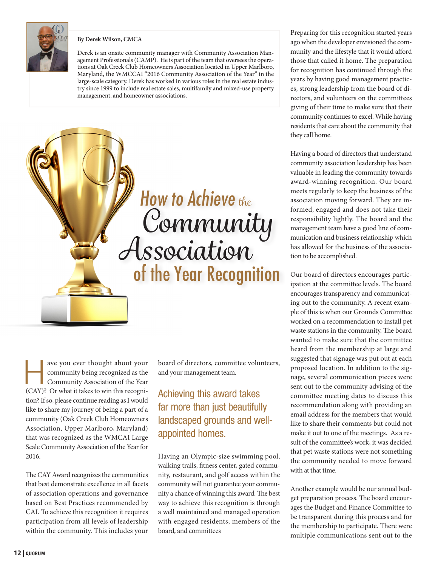

#### **By Derek Wilson, CMCA**

Derek is an onsite community manager with Community Association Management Professionals (CAMP). He is part of the team that oversees the operations at Oak Creek Club Homeowners Association located in Upper Marlboro, Maryland, the WMCCAI "2016 Community Association of the Year" in the large-scale category. Derek has worked in various roles in the real estate industry since 1999 to include real estate sales, multifamily and mixed-use property management, and homeowner associations.



ave you ever thought about your<br>
community being recognized as the<br>
Community Association of the Year community being recognized as the (CAY)? Or what it takes to win this recognition? If so, please continue reading as I would like to share my journey of being a part of a community (Oak Creek Club Homeowners Association, Upper Marlboro, Maryland) that was recognized as the WMCAI Large Scale Community Association of the Year for 2016.

The CAY Award recognizes the communities that best demonstrate excellence in all facets of association operations and governance based on Best Practices recommended by CAI. To achieve this recognition it requires participation from all levels of leadership within the community. This includes your

board of directors, committee volunteers, and your management team.

### Achieving this award takes far more than just beautifully landscaped grounds and wellappointed homes.

Having an Olympic-size swimming pool, walking trails, fitness center, gated community, restaurant, and golf access within the community will not guarantee your community a chance of winning this award. The best way to achieve this recognition is through a well maintained and managed operation with engaged residents, members of the board, and committees

Preparing for this recognition started years ago when the developer envisioned the community and the lifestyle that it would afford those that called it home. The preparation for recognition has continued through the years by having good management practices, strong leadership from the board of directors, and volunteers on the committees giving of their time to make sure that their community continues to excel. While having residents that care about the community that they call home.

Having a board of directors that understand community association leadership has been valuable in leading the community towards award-winning recognition. Our board meets regularly to keep the business of the association moving forward. They are informed, engaged and does not take their responsibility lightly. The board and the management team have a good line of communication and business relationship which has allowed for the business of the association to be accomplished.

Our board of directors encourages participation at the committee levels. The board encourages transparency and communicating out to the community. A recent example of this is when our Grounds Committee worked on a recommendation to install pet waste stations in the community. The board wanted to make sure that the committee heard from the membership at large and suggested that signage was put out at each proposed location. In addition to the signage, several communication pieces were sent out to the community advising of the committee meeting dates to discuss this recommendation along with providing an email address for the members that would like to share their comments but could not make it out to one of the meetings. As a result of the committee's work, it was decided that pet waste stations were not something the community needed to move forward with at that time.

Another example would be our annual budget preparation process. The board encourages the Budget and Finance Committee to be transparent during this process and for the membership to participate. There were multiple communications sent out to the